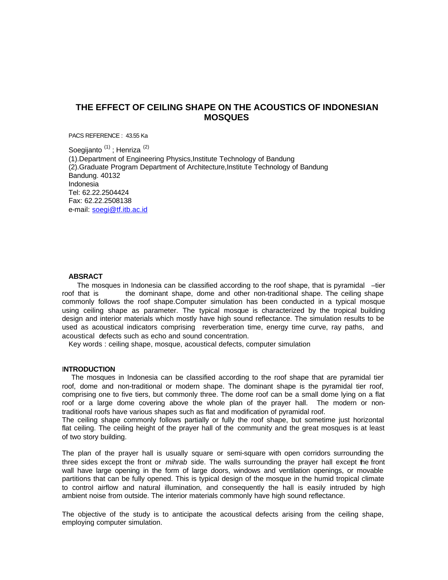# **THE EFFECT OF CEILING SHAPE ON THE ACOUSTICS OF INDONESIAN MOSQUES**

PACS REFERENCE : 43.55 Ka

Soegijanto<sup>(1)</sup>; Henriza<sup>(2)</sup> (1).Department of Engineering Physics,Institute Technology of Bandung (2).Graduate Program Department of Architecture,Institute Technology of Bandung Bandung. 40132 Indonesia Tel: 62.22.2504424 Fax: 62.22.2508138 e-mail: soegi@tf.itb.ac.id

#### **ABSRACT**

The mosques in Indonesia can be classified according to the roof shape, that is pyramidal -tier roof that is the dominant shape, dome and other non-traditional shape. The ceiling shape commonly follows the roof shape.Computer simulation has been conducted in a typical mosque using ceiling shape as parameter. The typical mosque is characterized by the tropical building design and interior materials which mostly have high sound reflectance. The simulation results to be used as acoustical indicators comprising reverberation time, energy time curve, ray paths, and acoustical defects such as echo and sound concentration.

Key words : ceiling shape, mosque, acoustical defects, computer simulation

#### I**NTRODUCTION**

 The mosques in Indonesia can be classified according to the roof shape that are pyramidal tier roof, dome and non-traditional or modern shape. The dominant shape is the pyramidal tier roof, comprising one to five tiers, but commonly three. The dome roof can be a small dome lying on a flat roof or a large dome covering above the whole plan of the prayer hall. The modern or nontraditional roofs have various shapes such as flat and modification of pyramidal roof.

The ceiling shape commonly follows partially or fully the roof shape, but sometime just horizontal flat ceiling. The ceiling height of the prayer hall of the community and the great mosques is at least of two story building.

The plan of the prayer hall is usually square or semi-square with open corridors surrounding the three sides except the front or *mihrab* side. The walls surrounding the prayer hall except the front wall have large opening in the form of large doors, windows and ventilation openings, or movable partitions that can be fully opened. This is typical design of the mosque in the humid tropical climate to control airflow and natural illumination, and consequently the hall is easily intruded by high ambient noise from outside. The interior materials commonly have high sound reflectance.

The objective of the study is to anticipate the acoustical defects arising from the ceiling shape, employing computer simulation.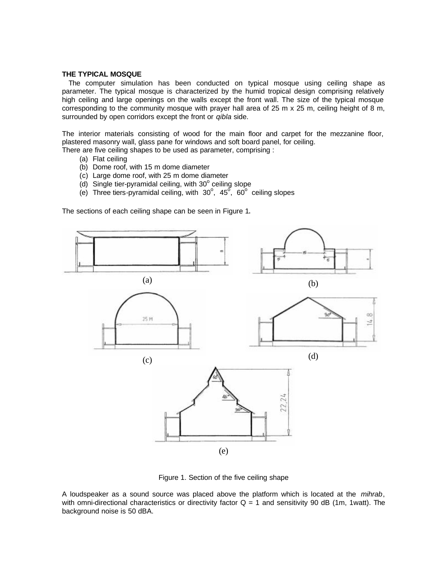## **THE TYPICAL MOSQUE**

 The computer simulation has been conducted on typical mosque using ceiling shape as parameter. The typical mosque is characterized by the humid tropical design comprising relatively high ceiling and large openings on the walls except the front wall. The size of the typical mosque corresponding to the community mosque with prayer hall area of 25 m x 25 m, ceiling height of 8 m, surrounded by open corridors except the front or *qibla* side.

The interior materials consisting of wood for the main floor and carpet for the mezzanine floor, plastered masonry wall, glass pane for windows and soft board panel, for ceiling.

There are five ceiling shapes to be used as parameter, comprising :

- (a) Flat ceiling
- (b) Dome roof, with 15 m dome diameter
- (c) Large dome roof, with 25 m dome diameter
- $(d)$  Single tier-pyramidal ceiling, with 30 $^{\circ}$  ceiling slope
- (e) Three tiers-pyramidal ceiling, with  $30^{\circ}$ ,  $45^{\circ}$ ,  $60^{\circ}$  ceiling slopes

The sections of each ceiling shape can be seen in Figure 1.



Figure 1. Section of the five ceiling shape

A loudspeaker as a sound source was placed above the platform which is located at the *mihrab*, with omni-directional characteristics or directivity factor  $Q = 1$  and sensitivity 90 dB (1m, 1watt). The background noise is 50 dBA.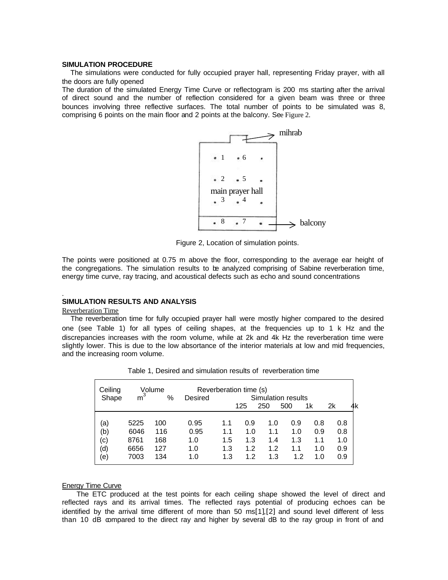## **SIMULATION PROCEDURE**

 The simulations were conducted for fully occupied prayer hall, representing Friday prayer, with all the doors are fully opened

The duration of the simulated Energy Time Curve or reflectogram is 200 ms starting after the arrival of direct sound and the number of reflection considered for a given beam was three or three bounces involving three reflective surfaces. The total number of points to be simulated was 8, comprising 6 points on the main floor and 2 points at the balcony. See Figure 2.



Figure 2, Location of simulation points.

The points were positioned at 0.75 m above the floor, corresponding to the average ear height of the congregations. The simulation results to be analyzed comprising of Sabine reverberation time, energy time curve, ray tracing, and acoustical defects such as echo and sound concentrations

# **SIMULATION RESULTS AND ANALYSIS**

#### Reverberation Time

.

 The reverberation time for fully occupied prayer hall were mostly higher compared to the desired one (see Table 1) for all types of ceiling shapes, at the frequencies up to 1 k Hz and the discrepancies increases with the room volume, while at 2k and 4k Hz the reverberation time were slightly lower. This is due to the low absortance of the interior materials at low and mid frequencies, and the increasing room volume.

| Ceiling<br>Shape | Volume<br>m <sup>3</sup><br>% |     | Reverberation time (s)<br>Simulation results<br>Desired |     |     |     |     |     |     |
|------------------|-------------------------------|-----|---------------------------------------------------------|-----|-----|-----|-----|-----|-----|
|                  |                               |     |                                                         |     | 125 | 250 | 500 | 1k  | 2k  |
| (a)              | 5225                          | 100 | 0.95                                                    | 1.1 | 0.9 | 1.0 | 0.9 | 0.8 | 0.8 |
| (b)              | 6046                          | 116 | 0.95                                                    | 1.1 | 1.0 | 1.1 | 1.0 | 0.9 | 0.8 |
| $\rm(c)$         | 8761                          | 168 | 1.0                                                     | 1.5 | 1.3 | 1.4 | 1.3 | 1.1 | 1.0 |
| (d)              | 6656                          | 127 | 1.0                                                     | 1.3 | 1.2 | 1.2 | 1.1 | 1.0 | 0.9 |
| $\rm(e)$         | 7003                          | 134 | 1.0                                                     | 1.3 | 1.2 | 1.3 | 1.2 | 1.0 | 0.9 |

Table 1, Desired and simulation results of reverberation time

#### Energy Time Curve

 The ETC produced at the test points for each ceiling shape showed the level of direct and reflected rays and its arrival times. The reflected rays potential of producing echoes can be identified by the arrival time different of more than 50 ms[1],[2] and sound level different of less than 10 dB compared to the direct ray and higher by several dB to the ray group in front of and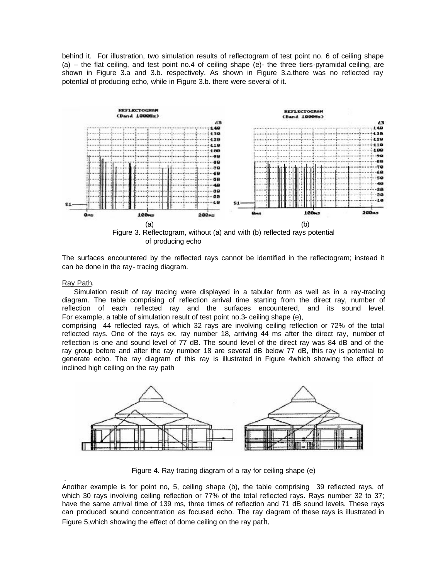behind it. For illustration, two simulation results of reflectogram of test point no. 6 of ceiling shape (a) – the flat ceiling, and test point no.4 of ceiling shape (e)- the three tiers-pyramidal ceiling, are shown in Figure 3.a and 3.b. respectively. As shown in Figure 3.a.there was no reflected ray potential of producing echo, while in Figure 3.b. there were several of it.



of producing echo

The surfaces encountered by the reflected rays cannot be identified in the reflectogram; instead it can be done in the ray- tracing diagram.

# Ray Path.

 Simulation result of ray tracing were displayed in a tabular form as well as in a ray-tracing diagram. The table comprising of reflection arrival time starting from the direct ray, number of reflection of each reflected ray and the surfaces encountered, and its sound level. For example, a table of simulation result of test point no.3- ceiling shape (e),

comprising 44 reflected rays, of which 32 rays are involving ceiling reflection or 72% of the total reflected rays. One of the rays ex. ray number 18, arriving 44 ms after the direct ray, number of reflection is one and sound level of 77 dB. The sound level of the direct ray was 84 dB and of the ray group before and after the ray number 18 are several dB below 77 dB, this ray is potential to generate echo. The ray diagram of this ray is illustrated in Figure 4which showing the effect of inclined high ceiling on the ray path



Figure 4. Ray tracing diagram of a ray for ceiling shape (e)

 . Another example is for point no, 5, ceiling shape (b), the table comprising 39 reflected rays, of which 30 rays involving ceiling reflection or 77% of the total reflected rays. Rays number 32 to 37; have the same arrival time of 139 ms, three times of reflection and 71 dB sound levels. These rays can produced sound concentration as focused echo. The ray diagram of these rays is illustrated in Figure 5,which showing the effect of dome ceiling on the ray path.